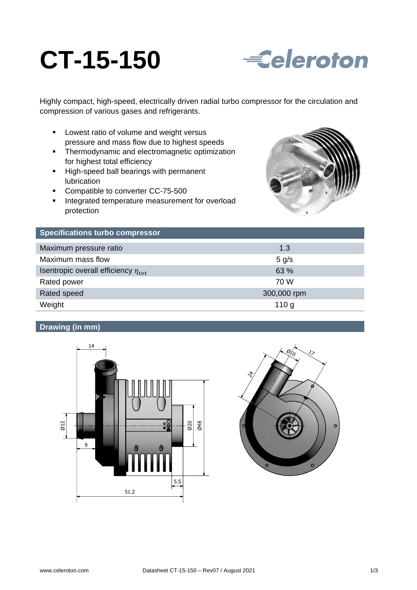# **CT-15-150**



Highly compact, high-speed, electrically driven radial turbo compressor for the circulation and compression of various gases and refrigerants.

- **Lowest ratio of volume and weight versus** pressure and mass flow due to highest speeds
- **F** Thermodynamic and electromagnetic optimization for highest total efficiency
- High-speed ball bearings with permanent lubrication
- Compatible to converter CC-75-500
- **Integrated temperature measurement for overload** protection



| <b>Specifications turbo compressor</b>     |                  |
|--------------------------------------------|------------------|
| Maximum pressure ratio                     | 1.3              |
| Maximum mass flow                          | $5$ g/s          |
| Isentropic overall efficiency $\eta_{tot}$ | 63 %             |
| Rated power                                | 70 W             |
| Rated speed                                | 300,000 rpm      |
| Weight                                     | 110 <sub>g</sub> |

## **Drawing (in mm)**



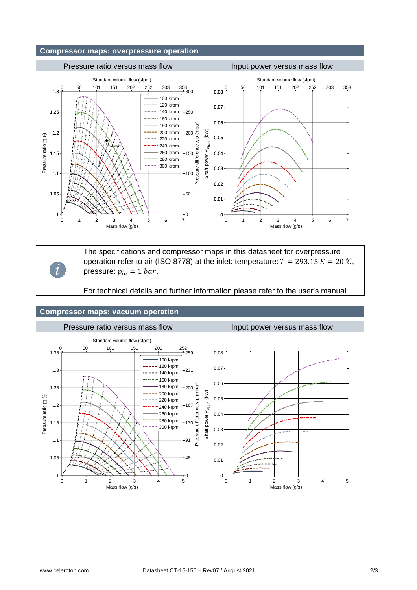#### **Compressor maps: overpressure operation**



The specifications and compressor maps in this datasheet for overpressure operation refer to air (ISO 8778) at the inlet: temperature:  $T = 293.15 K = 20 \text{ °C}$ , pressure:  $p_{in} = 1$  bar.

For technical details and further information please refer to the user's manual.

#### **Compressor maps: vacuum operation**

*i*